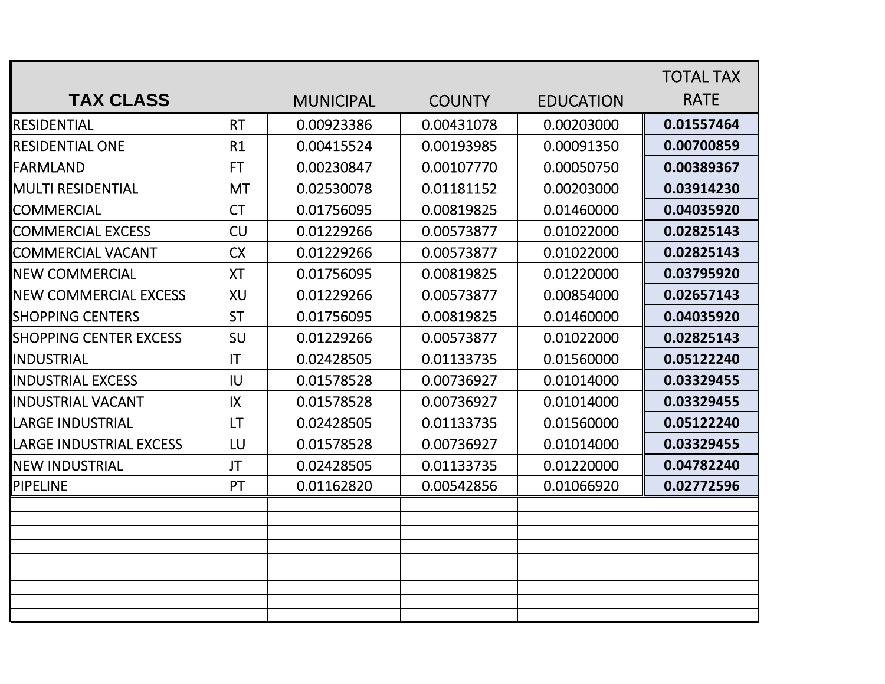|                                |                        |                  |               |                  | <b>TOTAL TAX</b> |
|--------------------------------|------------------------|------------------|---------------|------------------|------------------|
| <b>TAX CLASS</b>               |                        | <b>MUNICIPAL</b> | <b>COUNTY</b> | <b>EDUCATION</b> | <b>RATE</b>      |
| <b>RESIDENTIAL</b>             | <b>RT</b>              | 0.00923386       | 0.00431078    | 0.00203000       | 0.01557464       |
| <b>RESIDENTIAL ONE</b>         | R1                     | 0.00415524       | 0.00193985    | 0.00091350       | 0.00700859       |
| FARMLAND                       | <b>FT</b>              | 0.00230847       | 0.00107770    | 0.00050750       | 0.00389367       |
| <b>MULTI RESIDENTIAL</b>       | <b>MT</b>              | 0.02530078       | 0.01181152    | 0.00203000       | 0.03914230       |
| <b>COMMERCIAL</b>              | <b>CT</b>              | 0.01756095       | 0.00819825    | 0.01460000       | 0.04035920       |
| <b>COMMERCIAL EXCESS</b>       | <b>CU</b>              | 0.01229266       | 0.00573877    | 0.01022000       | 0.02825143       |
| <b>COMMERCIAL VACANT</b>       | <b>CX</b>              | 0.01229266       | 0.00573877    | 0.01022000       | 0.02825143       |
| <b>INEW COMMERCIAL</b>         | <b>XT</b>              | 0.01756095       | 0.00819825    | 0.01220000       | 0.03795920       |
| <b>INEW COMMERCIAL EXCESS</b>  | <b>XU</b>              | 0.01229266       | 0.00573877    | 0.00854000       | 0.02657143       |
| <b>SHOPPING CENTERS</b>        | <b>ST</b>              | 0.01756095       | 0.00819825    | 0.01460000       | 0.04035920       |
| <b>SHOPPING CENTER EXCESS</b>  | SU                     | 0.01229266       | 0.00573877    | 0.01022000       | 0.02825143       |
| INDUSTRIAL                     | $\mathsf{I}\mathsf{T}$ | 0.02428505       | 0.01133735    | 0.01560000       | 0.05122240       |
| <b>IINDUSTRIAL EXCESS</b>      | IU                     | 0.01578528       | 0.00736927    | 0.01014000       | 0.03329455       |
| <b>IINDUSTRIAL VACANT</b>      | IX                     | 0.01578528       | 0.00736927    | 0.01014000       | 0.03329455       |
| <b>LARGE INDUSTRIAL</b>        | LT                     | 0.02428505       | 0.01133735    | 0.01560000       | 0.05122240       |
| <b>LARGE INDUSTRIAL EXCESS</b> | LU                     | 0.01578528       | 0.00736927    | 0.01014000       | 0.03329455       |
| <b>I</b> NEW INDUSTRIAL        | JT                     | 0.02428505       | 0.01133735    | 0.01220000       | 0.04782240       |
| <b>PIPELINE</b>                | PT                     | 0.01162820       | 0.00542856    | 0.01066920       | 0.02772596       |
|                                |                        |                  |               |                  |                  |
|                                |                        |                  |               |                  |                  |
|                                |                        |                  |               |                  |                  |
|                                |                        |                  |               |                  |                  |
|                                |                        |                  |               |                  |                  |
|                                |                        |                  |               |                  |                  |